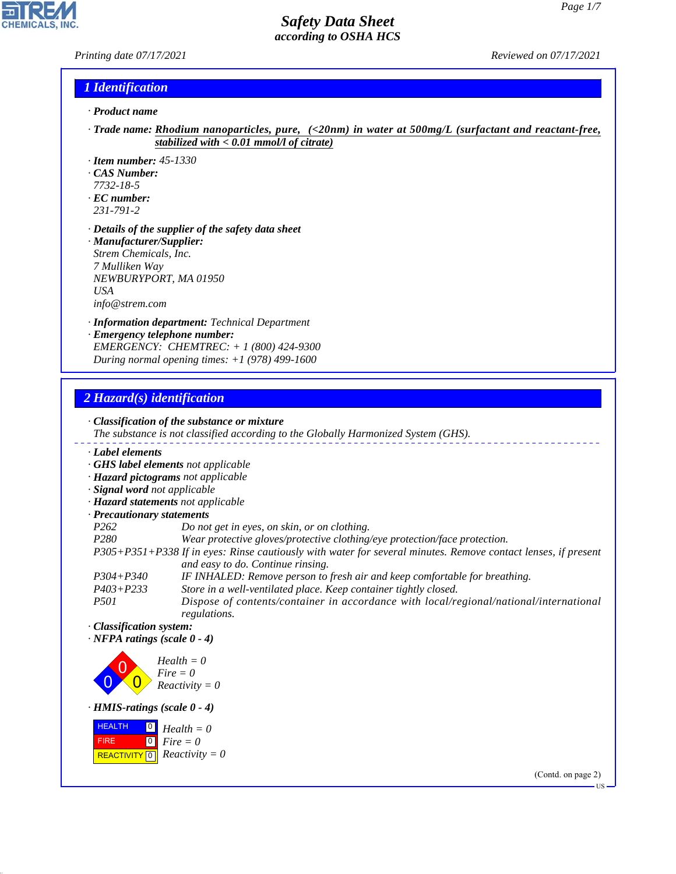### *Printing date 07/17/2021 Reviewed on 07/17/2021*

**CHEMICALS.** 

#### *1 Identification*

- *· Product name*
- *· Trade name: Rhodium nanoparticles, pure, (<20nm) in water at 500mg/L (surfactant and reactant-free, stabilized with < 0.01 mmol/l of citrate)*
- *· Item number: 45-1330*
- *· CAS Number:*
- *7732-18-5*
- *· EC number: 231-791-2*
- *· Details of the supplier of the safety data sheet*
- *· Manufacturer/Supplier: Strem Chemicals, Inc. 7 Mulliken Way NEWBURYPORT, MA 01950 USA info@strem.com*
- *· Information department: Technical Department*
- *· Emergency telephone number: EMERGENCY: CHEMTREC: + 1 (800) 424-9300 During normal opening times: +1 (978) 499-1600*

# *2 Hazard(s) identification*

44.1.1

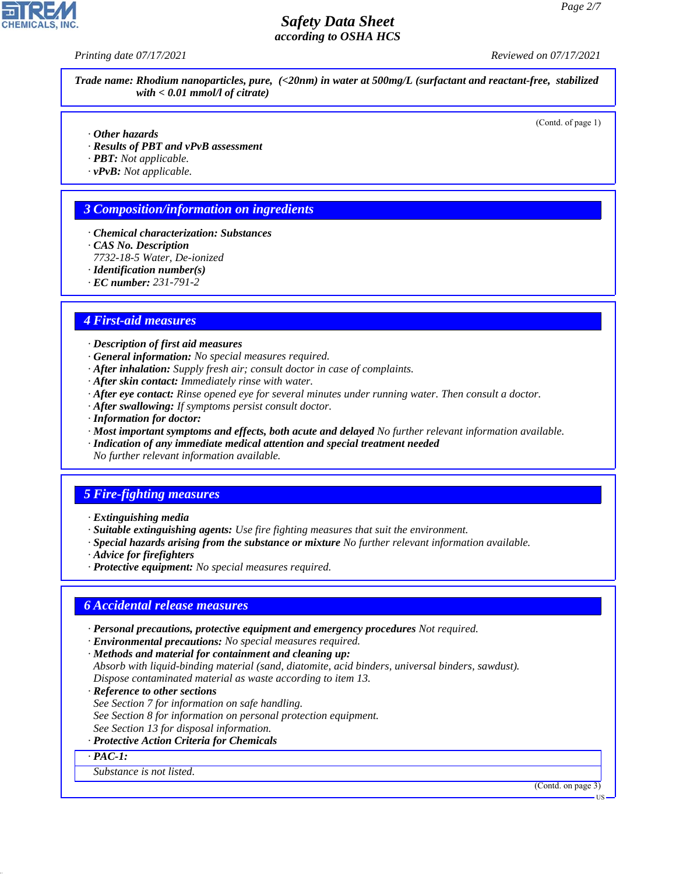*Printing date 07/17/2021 Reviewed on 07/17/2021*

*Trade name: Rhodium nanoparticles, pure, (<20nm) in water at 500mg/L (surfactant and reactant-free, stabilized with < 0.01 mmol/l of citrate)*

(Contd. of page 1)

- *· Other hazards*
- *· Results of PBT and vPvB assessment*
- *· PBT: Not applicable.*
- *· vPvB: Not applicable.*

## *3 Composition/information on ingredients*

- *· Chemical characterization: Substances*
- *· CAS No. Description*
- *7732-18-5 Water, De-ionized*
- *· Identification number(s)*
- *· EC number: 231-791-2*

## *4 First-aid measures*

- *· Description of first aid measures*
- *· General information: No special measures required.*
- *· After inhalation: Supply fresh air; consult doctor in case of complaints.*
- *· After skin contact: Immediately rinse with water.*
- *· After eye contact: Rinse opened eye for several minutes under running water. Then consult a doctor.*
- *· After swallowing: If symptoms persist consult doctor.*
- *· Information for doctor:*
- *· Most important symptoms and effects, both acute and delayed No further relevant information available.*
- *· Indication of any immediate medical attention and special treatment needed No further relevant information available.*

# *5 Fire-fighting measures*

- *· Extinguishing media*
- *· Suitable extinguishing agents: Use fire fighting measures that suit the environment.*
- *· Special hazards arising from the substance or mixture No further relevant information available.*
- *· Advice for firefighters*
- *· Protective equipment: No special measures required.*

#### *6 Accidental release measures*

- *· Personal precautions, protective equipment and emergency procedures Not required.*
- *· Environmental precautions: No special measures required.*
- *· Methods and material for containment and cleaning up:*
- *Absorb with liquid-binding material (sand, diatomite, acid binders, universal binders, sawdust). Dispose contaminated material as waste according to item 13.*
- *· Reference to other sections*
- *See Section 7 for information on safe handling.*
- *See Section 8 for information on personal protection equipment.*
- *See Section 13 for disposal information.*
- *· Protective Action Criteria for Chemicals*
- *· PAC-1:*

44.1.1

*Substance is not listed.*

(Contd. on page 3)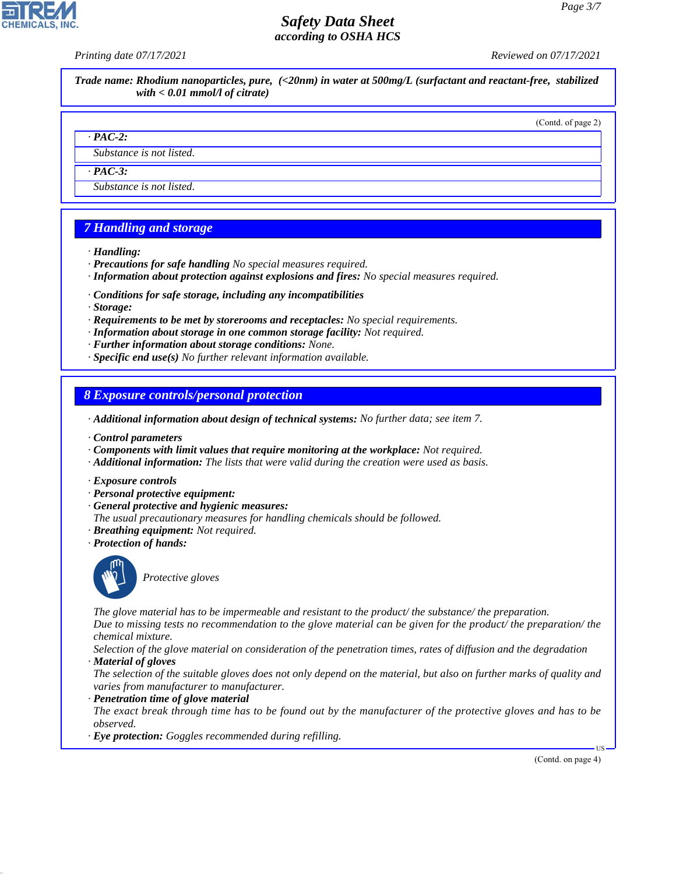*Printing date 07/17/2021 Reviewed on 07/17/2021*

*Trade name: Rhodium nanoparticles, pure, (<20nm) in water at 500mg/L (surfactant and reactant-free, stabilized with < 0.01 mmol/l of citrate)*

(Contd. of page 2)

#### *· PAC-2:*

*Substance is not listed.*

*· PAC-3:*

*Substance is not listed.*

# *7 Handling and storage*

- *· Handling:*
- *· Precautions for safe handling No special measures required.*
- *· Information about protection against explosions and fires: No special measures required.*
- *· Conditions for safe storage, including any incompatibilities*
- *· Storage:*
- *· Requirements to be met by storerooms and receptacles: No special requirements.*
- *· Information about storage in one common storage facility: Not required.*
- *· Further information about storage conditions: None.*
- *· Specific end use(s) No further relevant information available.*

*8 Exposure controls/personal protection*

*· Additional information about design of technical systems: No further data; see item 7.*

- *· Control parameters*
- *· Components with limit values that require monitoring at the workplace: Not required.*
- *· Additional information: The lists that were valid during the creation were used as basis.*
- *· Exposure controls*
- *· Personal protective equipment:*
- *· General protective and hygienic measures:*
- *The usual precautionary measures for handling chemicals should be followed.*
- *· Breathing equipment: Not required.*
- *· Protection of hands:*



44.1.1

\_S*Protective gloves*

*The glove material has to be impermeable and resistant to the product/ the substance/ the preparation.*

*Due to missing tests no recommendation to the glove material can be given for the product/ the preparation/ the chemical mixture.*

*Selection of the glove material on consideration of the penetration times, rates of diffusion and the degradation · Material of gloves*

*The selection of the suitable gloves does not only depend on the material, but also on further marks of quality and varies from manufacturer to manufacturer.*

*· Penetration time of glove material*

*The exact break through time has to be found out by the manufacturer of the protective gloves and has to be observed.*

*· Eye protection: Goggles recommended during refilling.*

(Contd. on page 4)

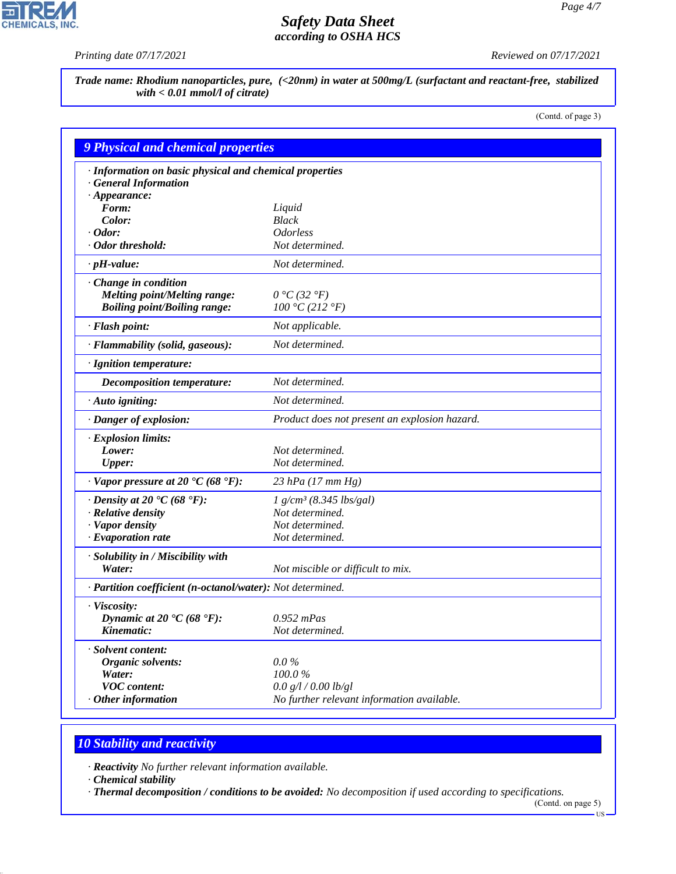P

**CHEMICALS, INC.** 

*Printing date 07/17/2021 Reviewed on 07/17/2021*

*Trade name: Rhodium nanoparticles, pure, (<20nm) in water at 500mg/L (surfactant and reactant-free, stabilized with < 0.01 mmol/l of citrate)*

(Contd. of page 3)

| <b>9 Physical and chemical properties</b>                                        |                                               |
|----------------------------------------------------------------------------------|-----------------------------------------------|
| · Information on basic physical and chemical properties<br>· General Information |                                               |
| $\cdot$ Appearance:                                                              |                                               |
| Form:                                                                            | Liquid                                        |
| Color:                                                                           | <b>Black</b>                                  |
| $\cdot$ Odor:                                                                    | <i><b>Odorless</b></i>                        |
| · Odor threshold:                                                                | Not determined.                               |
| $\cdot$ pH-value:                                                                | Not determined.                               |
| Change in condition                                                              |                                               |
| <b>Melting point/Melting range:</b>                                              | $0 °C$ (32 $°F$ )                             |
| <b>Boiling point/Boiling range:</b>                                              | 100 °C (212 °F)                               |
| · Flash point:                                                                   | Not applicable.                               |
| · Flammability (solid, gaseous):                                                 | Not determined.                               |
| · Ignition temperature:                                                          |                                               |
| <b>Decomposition temperature:</b>                                                | Not determined.                               |
| · Auto igniting:                                                                 | Not determined.                               |
| · Danger of explosion:                                                           | Product does not present an explosion hazard. |
| · Explosion limits:                                                              |                                               |
| Lower:                                                                           | Not determined.                               |
| <b>Upper:</b>                                                                    | Not determined.                               |
| $\cdot$ Vapor pressure at 20 $\cdot$ C (68 $\cdot$ F):                           | $23$ hPa (17 mm Hg)                           |
| $\cdot$ Density at 20 $\cdot$ C (68 $\cdot$ F):                                  | $1 g/cm^3 (8.345 lbs/gal)$                    |
| · Relative density                                                               | Not determined.                               |
| · Vapor density                                                                  | Not determined.                               |
| · Evaporation rate                                                               | Not determined.                               |
| · Solubility in / Miscibility with                                               |                                               |
| Water:                                                                           | Not miscible or difficult to mix.             |
| · Partition coefficient (n-octanol/water): Not determined.                       |                                               |
| · Viscosity:                                                                     |                                               |
| Dynamic at 20 $\textdegree$ C (68 $\textdegree$ F):                              | $0.952$ mPas                                  |
| Kinematic:                                                                       | Not determined.                               |
| · Solvent content:                                                               |                                               |
| <i><b>Organic solvents:</b></i>                                                  | $0.0\%$                                       |
| Water:                                                                           | 100.0%                                        |
| <b>VOC</b> content:                                                              | 0.0 g/l / 0.00 lb/gl                          |
| $\cdot$ Other information                                                        | No further relevant information available.    |

# *10 Stability and reactivity*

*· Reactivity No further relevant information available.*

*· Chemical stability*

44.1.1

*· Thermal decomposition / conditions to be avoided: No decomposition if used according to specifications.*

(Contd. on page 5) US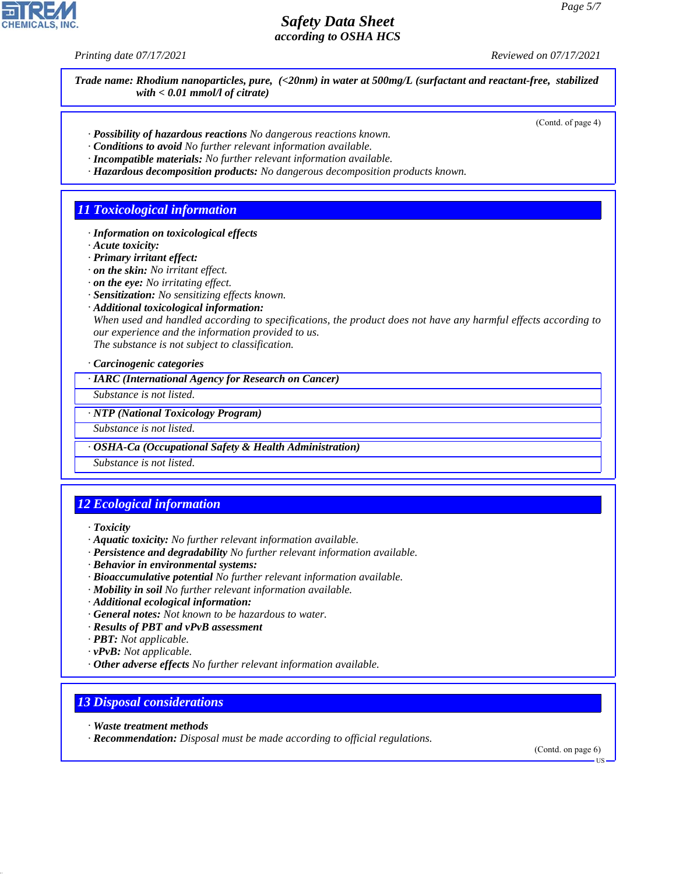*Printing date 07/17/2021 Reviewed on 07/17/2021*

*Trade name: Rhodium nanoparticles, pure, (<20nm) in water at 500mg/L (surfactant and reactant-free, stabilized with < 0.01 mmol/l of citrate)*

(Contd. of page 4)

- *· Possibility of hazardous reactions No dangerous reactions known.*
- *· Conditions to avoid No further relevant information available.*
- *· Incompatible materials: No further relevant information available.*
- *· Hazardous decomposition products: No dangerous decomposition products known.*

### *11 Toxicological information*

- *· Information on toxicological effects*
- *· Acute toxicity:*
- *· Primary irritant effect:*
- *· on the skin: No irritant effect.*
- *· on the eye: No irritating effect.*
- *· Sensitization: No sensitizing effects known.*
- *· Additional toxicological information:*

*When used and handled according to specifications, the product does not have any harmful effects according to our experience and the information provided to us. The substance is not subject to classification.*

*· Carcinogenic categories*

*· IARC (International Agency for Research on Cancer)*

*Substance is not listed.*

*· NTP (National Toxicology Program)*

*Substance is not listed.*

*· OSHA-Ca (Occupational Safety & Health Administration)*

*Substance is not listed.*

# *12 Ecological information*

*· Toxicity*

- *· Aquatic toxicity: No further relevant information available.*
- *· Persistence and degradability No further relevant information available.*
- *· Behavior in environmental systems:*
- *· Bioaccumulative potential No further relevant information available.*
- *· Mobility in soil No further relevant information available.*
- *· Additional ecological information:*
- *· General notes: Not known to be hazardous to water.*
- *· Results of PBT and vPvB assessment*
- *· PBT: Not applicable.*
- *· vPvB: Not applicable.*
- *· Other adverse effects No further relevant information available.*

## *13 Disposal considerations*

*· Waste treatment methods*

44.1.1

*· Recommendation: Disposal must be made according to official regulations.*

(Contd. on page 6)

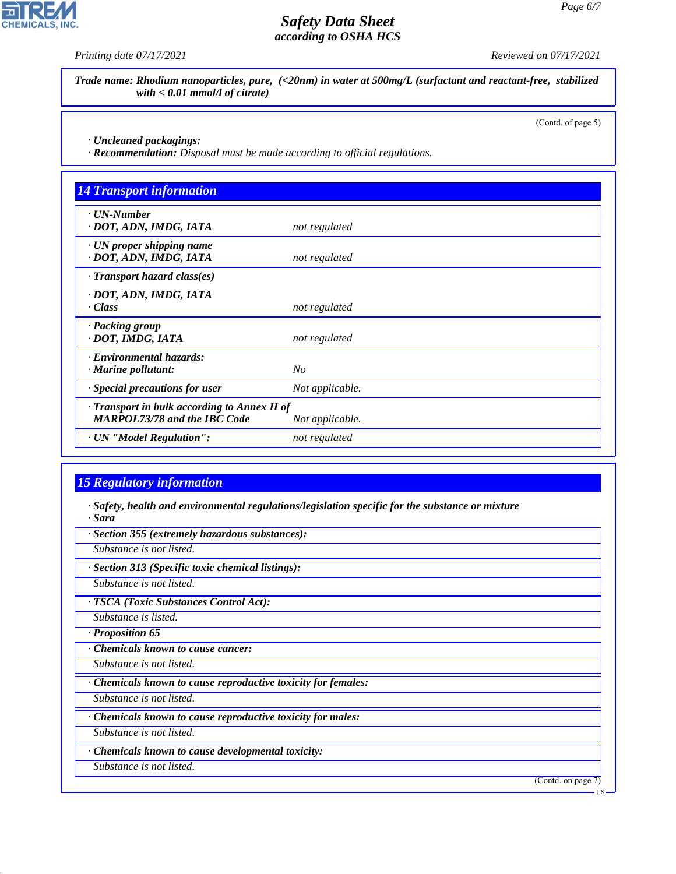**CHEMICALS, INC.** 

*Printing date 07/17/2021 Reviewed on 07/17/2021*

*Trade name: Rhodium nanoparticles, pure, (<20nm) in water at 500mg/L (surfactant and reactant-free, stabilized with < 0.01 mmol/l of citrate)*

(Contd. of page 5)

*· Uncleaned packagings:*

*· Recommendation: Disposal must be made according to official regulations.*

| <b>14 Transport information</b>                                                     |                 |
|-------------------------------------------------------------------------------------|-----------------|
| ⋅ UN-Number<br>· DOT, ADN, IMDG, IATA                                               | not regulated   |
| $\cdot$ UN proper shipping name<br>· DOT, ADN, IMDG, IATA                           | not regulated   |
| $\cdot$ Transport hazard class(es)                                                  |                 |
| · DOT, ADN, IMDG, IATA<br>· Class                                                   | not regulated   |
| · Packing group<br>· DOT, IMDG, IATA                                                | not regulated   |
| · Environmental hazards:<br>$\cdot$ Marine pollutant:                               | No              |
| · Special precautions for user                                                      | Not applicable. |
| · Transport in bulk according to Annex II of<br><b>MARPOL73/78 and the IBC Code</b> | Not applicable. |
| · UN "Model Regulation":                                                            | not regulated   |

# *15 Regulatory information*

44.1.1

*· Safety, health and environmental regulations/legislation specific for the substance or mixture · Sara*

*· Section 355 (extremely hazardous substances): Substance is not listed. · Section 313 (Specific toxic chemical listings): Substance is not listed. · TSCA (Toxic Substances Control Act): Substance is listed. · Proposition 65 · Chemicals known to cause cancer: Substance is not listed. · Chemicals known to cause reproductive toxicity for females: Substance is not listed. · Chemicals known to cause reproductive toxicity for males: Substance is not listed. · Chemicals known to cause developmental toxicity: Substance is not listed.* (Contd. on page 7) US